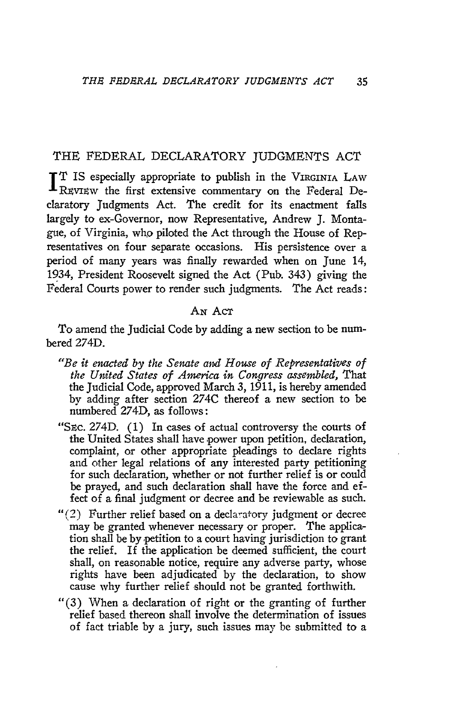## THE FEDERAL DECLARATORY JUDGMENTS ACT

T IS especially appropriate to publish in the VIRGINIA LAW REVIEW the first extensive commentary on the Federal Declaratory Judgments Act. The credit for its enactment falls largely to ex-Governor, now Representative, Andrew J. Montague, of Virginia, who piloted the Act through the House of Representatives on four separate occasions. His persistence over a period of many years was finally rewarded when on June 14, 1934, President Roosevelt signed the Act (Pub. 343) giving the Federal Courts power to render such judgments. The Act reads:

## **AN** AcT

To amend the Judicial Code by adding a new section to be numbered 274D.

- *"Be it enacted by the Senate and Howe of Representatives of the United States of America in Congress assembled,* That the Judicial Code, approved March 3, 1911, is hereby amended by adding after section 274C thereof a new section to be numbered 274D, as follows:
- "Sec. 274D. (1) In cases of actual controversy the courts of the United States shall have power upon petition, declaration, complaint, or other appropriate pleadings to declare rights and other legal relations of any interested party petitioning for such declaration, whether or not further relief is or could be prayed, and such declaration shall have the force and effect of a final judgment or decree and be reviewable as such.
- $''(2)$  Further relief based on a declaratory judgment or decree may be granted whenever necessary or proper. The application shall be by petition to a court having jurisdiction to grant the relief. If the application be deemed sufficient, the court shall, on reasonable notice, require any adverse party, whose rights have been adjudicated by the declaration, to show cause why further relief should not be granted forthwith.
- "(3) When a declaration of right or the granting of further relief based thereon shall involve the determination of issues of fact triable by a jury, such issues may be submitted to a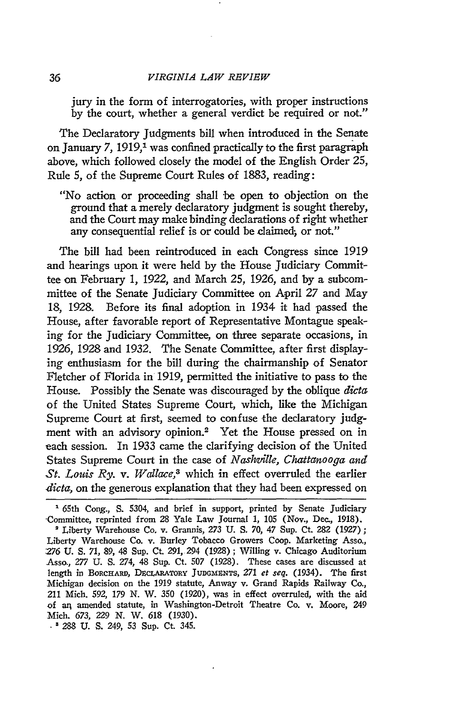jury in the form of interrogatories, with proper instructions by the court, whether a general verdict be required or not."

The Declaratory Judgments bill when introduced in the Senate on January 7, 1919,<sup>1</sup> was confined practically to the first paragraph above, which followed closely the model of the English Order 25, Rule 5, of the Supreme Court Rules of 1883, reading:

"No action or proceeding shall be open to objection on the ground that a merely declaratory judgment is sought thereby, and the Court may make binding declarations of right whether any consequential relief is or could be claimed; or not."

The bill had been reintroduced in each Congress since 1919 and hearings upon it were held by the House judiciary Committee on February 1, *1922,* and March *25,* 1926, and by a subcommittee of the Senate Judiciary Committee on April 27 and May 18, 1928. Before its final adoption in 1934 it had passed the House, after favorable report of Representative Montague speaking for the Judiciary Committee, on three separate occasions, in 1926, 1928 and 1932. The Senate Committee, after first displaying enthusiasm for the bill during the chairmanship of Senator Fletcher of Florida in 1919, permitted the initiative to pass to the House. Possibly the Senate was discouraged by the oblique *dicta* of the United States Supreme Court, which, like the Michigan Supreme Court at first, seemed to confuse the declaratory judgment with an advisory opinion.2 Yet the House pressed on in each session. In 1933 came the clarifying decision of the United States Supreme Court in the case of *Nashville, Chattanooga and St. Louis Ry. v. Wallace,3* which in effect overruled the earlier *dicta,* on the generous explanation that they had been expressed on

65th Cong., **S.** 5304, and brief in support, printed by Senate Judiciary ,Committee, reprinted from 28 Yale Law Journal 1, 105 (Nov., Dec., 1918). **'** Liberty Warehouse Co. v. Grannis, *273* **U. S. 70,** 47 Sup. Ct. **282** (1927); Liberty Warehouse Co. v. Burley Tobacco Growers Coop. Marketing Asso., *276* U. S. 71, 89, 48 Sup. Ct. 291, 294 (1928); Willing v. Chicago Auditorium Asso., 277 U. *S.* 274, 48 Sup. Ct. 507 (1928). These cases are discussed at length in BORCHARD, DECLARATORY JUDGMENTS, 271 et seq. (1934). The first Michigan decision on the 1919 statute, Anway v. Grand Rapids Railway Co., 211 Mich. 592, 179 N. W. 350 (1920), was in effect overruled, with the aid of ar; amended statute, in Washington-Detroit Theatre Co. v. Moore, 249 Mich. 673, 229 N. W. 618 (1930).

**. '** 288 U. **S.** 249, 53 Sup. Ct. 345.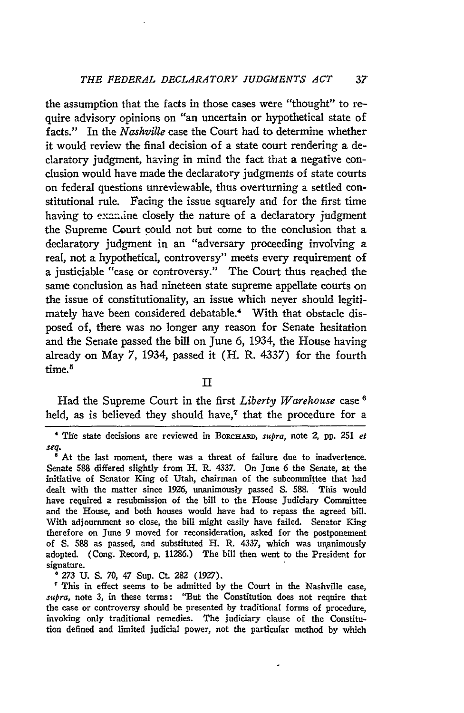the assumption that the facts in those cases were "thought" to require advisory opinions on "an uncertain or hypothetical state of facts." In the *Nashville* case the Court had to determine whether it would review the final decision of a state court rendering a declaratory judgment, having in mind the fact that a negative conclusion would have made the declaratory judgments of state courts on federal questions unreviewable, thus overturning a settled constitutional rule. Facing the issue squarely and for the first time having to examine closely the nature of a declaratory judgment the Supreme Court could not but come to the conclusion that a declaratory judgment in an "adversary proceeding involving a real, not a hypothetical, controversy" meets every requirement of a justiciable "case or controversy." The Court thus reached the same conclusion as had nineteen state supreme appellate courts on the issue of constitutionality, an issue which never should legitimately have been considered debatable.<sup>4</sup> With that obstacle disposed of, there was no longer any reason for Senate hesitation and the Senate passed the bill on June **6,** 1934, the House having already on May **7,** 1934, passed it (H. R. **4337)** for the fourth time.<sup>5</sup>

**II**

Had the Supreme Court in the first *Liberty Warehouse* case **6** held, as is believed they should have,<sup> $7$ </sup> that the procedure for a

**' 273 U. S. 70,** 47 Sup. Ct. **282 (1927).**

**'** This in effect seems to be admitted **by** the Court in the Nashville case, *supra,* note **3,** in these terms: "But the Constitution does not require that the ease or controversy should be presented **by** traditional forms of procedure, invoking only traditional remedies. The judiciary clause of the Constitution defined and limited judicial power, not the particular method **by** which

**<sup>&#</sup>x27;** TIe state decisions are reviewed in **BoRcHARD,** *supra,* note 2, **pp. 251** *et seq.* **'** At the last moment, there was a threat of failure due to inadvertence.

Senate **588** differed slightly from H. **R. 4337.** On June **6** the Senate, at the initiative of Senator King of Utah, chairman of the subcommittee that had dealt with the matter since **1926,** unanimously passed **S. 588.** This would have required a resubmission of the bill to the House Judiciary Committee and the House, and both houses would have had to repass the agreed bill. With adjournment so close, the bill might easily have failed. Senator King therefore on June **9** moved for reconsideration, asked for the postponement of **S. 588** as passed, and substituted H. R. **4337,** which was unanimously adopted. (Cong. Record, **p. 11286.)** The bill then went to the President for signature.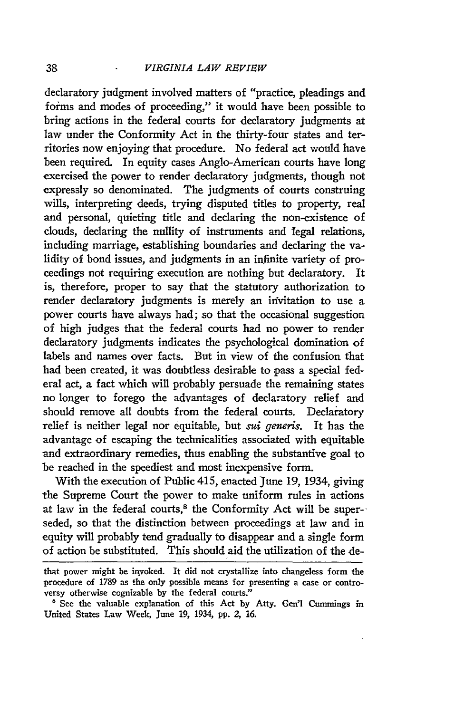declaratory judgment involved matters of "practice, pleadings and forms and modes of proceeding," it would have been possible to bring actions in the federal courts for declaratory judgments at law under the Conformity Act in the thirty-four states and territories now enjoying that procedure. No federal act would have been required. In equity cases Anglo-American courts have long exercised the power to render declaratory judgments, though not expressly so denominated. The judgments of courts construing wills, interpreting deeds, trying disputed titles to property, real and personal, quieting title and declaring the non-existence of clouds, declaring the nullity of instruments and legal relations, including marriage, establishing boundaries and declaring the validity of bond issues, and judgments in an infinite variety of proceedings not requiring execution are nothing but declaratory. It is, therefore, proper to say that the statutory authorization to render declaratory judgments is merely an invitation to use a power courts have always had; so that the occasional suggestion of high judges that the federal courts had no power to render declaratory judgments indicates the psychological domination of labels and names over facts. But in view of the confusion that had been created, it was doubtless desirable to pass a special federal act, a fact which will probably persuade the remaining states no longer to forego the advantages of declaratory relief and should remove all doubts from the federal courts. Declaratory relief is neither legal nor equitable, but *sui generis.* It has the advantage of escaping the technicalities associated with equitable and extraordinary remedies, thus enabling the substantive goal to be reached in the speediest and most inexpensive form.

With the execution of Public 415, enacted June 19, 1934, giving the Supreme Court the power to make uniform rules in actions at law in the federal courts, $8$  the Conformity Act will be superseded, so that the distinction between proceedings at law and in equity will probably tend gradually to disappear and a single form of action be substituted. This should aid the utilization of the de-

that power might be invoked. It did not crystallize into changeless form the procedure of 1789 as the only possible means for presenting a case or controversy otherwise cognizable **by** the federal courts."

**<sup>8</sup>**See the valuable explanation of this Act **by** Atty. Gen'l Cummings in United States Law Week, June **19,** 1934, **pp.** 2, *16.*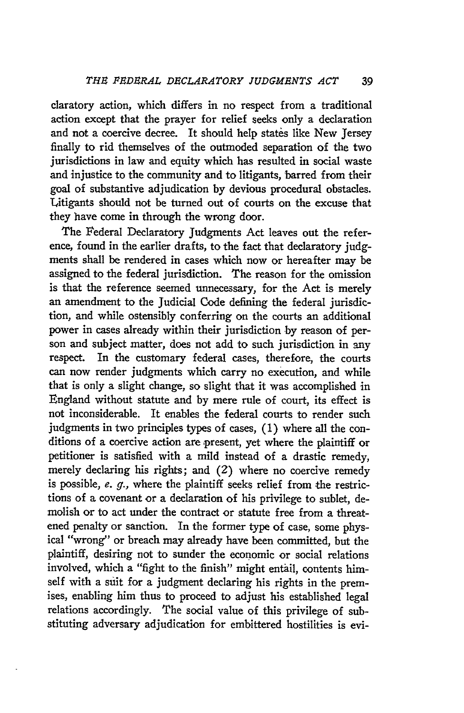claratory action, which differs in no respect from a traditional action except that the prayer for relief seeks only a declaration and not a coercive decree. It should help states like New Jersey finally to rid themselves of the outmoded separation of the two jurisdictions in law and equity which has resulted in social waste and injustice to the community and to litigants, barred from their goal of substantive adjudication by devious procedural obstacles. Litigants should not be turned out of courts on the excuse that they have come in through the wrong door.

The Federal Declaratory Judgments Act leaves out the reference, found in the earlier drafts, to the fact that declaratory judgments shall be rendered in cases which now or hereafter may be assigned to the federal jurisdiction. The reason for the omission is that the reference seemed unnecessary, for the Act is merely an amendment to the Judicial Code defining the federal jurisdiction, and while ostensibly conferring on the courts an additional power in cases already within their jurisdiction by reason of person and subject matter, does not add to such jurisdiction in any respect. In the customary federal cases, therefore, the courts can now render judgments which carry no execution, and while that is only a slight change, so slight that it was accomplished in England without statute and by mere rule of court, its effect is not inconsiderable. It enables the federal courts to render such judgments in two principles types of cases, (1) where all the conditions of a coercive action are present, yet where the plaintiff or petitioner is satisfied with a mild instead of a drastic remedy, merely declaring his rights; and (2) where no coercive remedy is possible, e. *g.,* where the plaintiff seeks relief from the restrictions of a covenant or a declaration of his privilege to sublet, demolish or to act under the contract or statute free from a threatened penalty or sanction. In the former type of case, some physical "wrong" or breach may already have been committed, but the plaintiff, desiring not to sunder the economic or social relations involved, which a "fight to the finish" might entail, contents himself with a suit for a judgment declaring his rights in the premises, enabling him thus to proceed to adjust his established legal relations accordingly. The social value of this privilege of substituting adversary adjudication for embittered hostilities is evi-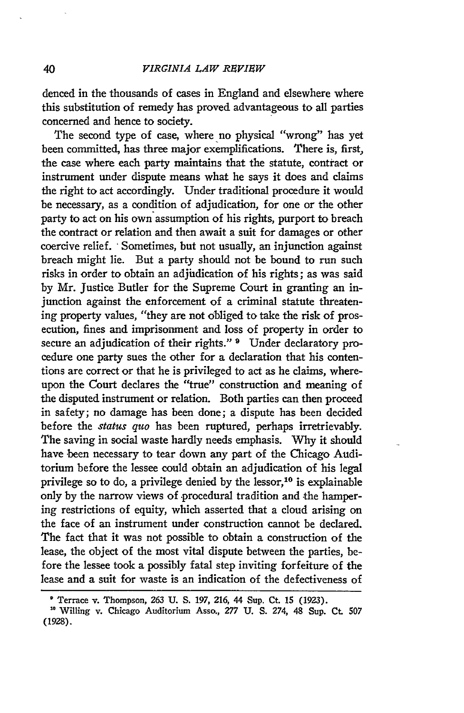denced in the thousands of cases in England and elsewhere where this substitution of remedy has proved advantageous to all parties concerned and hence to society.

The second type of case, where no physical "wrong" has yet been committed, has three major exemplifications. There is, first, the case where each party maintains that the statute, contract or instrument under dispute means what he says it does and claims the right to act accordingly. Under traditional procedure it would be necessary, as a condition of adjudication, for one or the other party to act on his own assumption of his rights, purport to breach the contract or relation and then await a suit for damages or other coercive relief. "Sometimes, but not usually, an injunction against breach might lie. But a party should not be bound to run such risks in order to obtain an adjudication of his rights; as was said by Mr. Justice Butler for the Supreme Court in granting an injunction against the enforcement of a criminal statute threatening property values, "they are not obliged to take the risk of prosecution, fines and imprisonment and loss of property in order to secure an adjudication of their rights." **9** Under declaratory procedure one party sues the other for a declaration that his contentions are correct or that he is privileged to act as he claims, whereupon the Court declares the "true" construction and meaning of the disputed instrument or relation. Both parties can then proceed in safety; no damage has been done; a dispute has been decided before the *status quo* has been ruptured, perhaps irretrievably. The saving in social waste hardly needs emphasis. Why it should have been necessary to tear down any part of the Chicago Auditorium before the lessee could obtain an adjudication of his legal privilege so to do, a privilege denied by the lessor, $10$  is explainable only by the narrow views of procedural tradition and the hampering restrictions of equity, which asserted that a cloud arising on the face of an instrument under construction cannot be declared. The fact that it was not possible to obtain a construction of the lease, the object of the most vital dispute between the parties, before the lessee took a possibly fatal step inviting forfeiture of the lease and a suit for waste is an indication of the defectiveness of

40

Terrace v. Thompson, **263 U. S.** 197, 216, 44 Sup. **Ct.** 15 (1923).

Willing v. Chicago Auditorium Asso., **277** U. S. 274, 48 Sup. Ct. 507 (1928).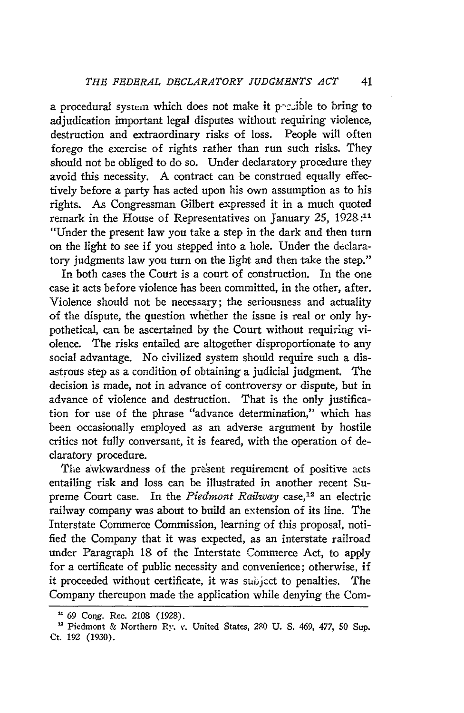a procedural system which does not make it possible to bring to adjudication important legal disputes without requiring violence, destruction and extraordinary risks of loss. People will often forego the exercise of rights rather than run such risks. They should not be obliged to do so. Under declaratory procedure they avoid this necessity. A contract can be construed equally effectively before a party has acted upon his own assumption as to his rights. As Congressman Gilbert expressed it in a much quoted remark in the House of Representatives on January *25,* 1928:11 "Under the present law you take a step in the dark and then turn on the light to see if you stepped into a hole. Under the declaratory judgments law you turn on the light and then take the step."

In both cases the Court is a court of construction. In the one case it acts before violence has been committed, in the other, after. Violence should not be necessary; the seriousness and actuality of the dispute, the question whether the issue is real or only hypothetical, can be ascertained by the Court without requiring violence. The risks entailed are altogether disproportionate to any social advantage. No civilized system should require such a disastrous step as a condition of obtaining a judicial judgment. The decision is made, not in advance of controversy or dispute, but in advance of violence and destruction. That is the only justification for use of the phrase "advance determination," which has been occasionally employed as an adverse argument by hostile critics not fully conversant, it is feared, with the operation of declaratory procedure.

The awkwardness of the present requirement of positive acts entailing risk and loss can be illustrated in another recent Supreme Court case. In the *Piedmont Railway* case,<sup>12</sup> an electric railway company was about to build an extension of its line. The Interstate Commerce Commission, learning of this proposal, notified the Company that it was expected, as an interstate railroad under Paragraph 18 of the Interstate Commerce Act, to apply for a certificate of public necessity and convenience; otherwise, if it proceeded without certificate, it was subjcct to penalties. The Company thereupon made the application while denying the Com-

*<sup>&</sup>quot;69* Cong. Rec. 2108 (1928).

<sup>&</sup>lt;sup>12</sup> Piedmont & Northern Ry. *v*. United States, 280 U. S. 469, 477, 50 Sup. Ct. 192 (1930).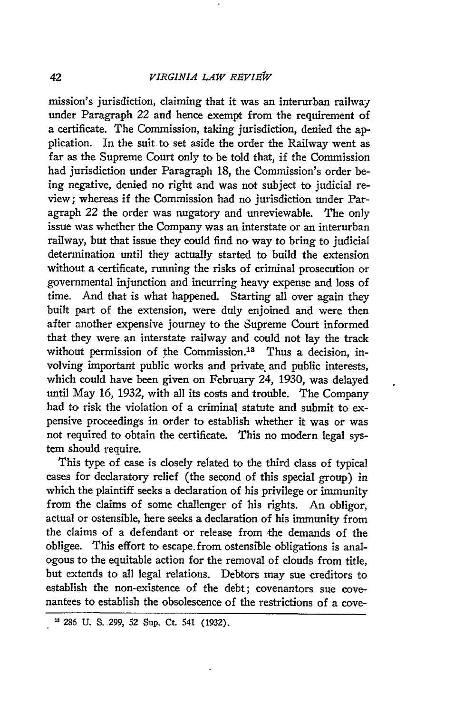mission's jurisdiction, claiming that it was an interurban railway under Paragraph 22 and hence exempt from the requirement of a certificate. The Commission, taking jurisdiction, denied the application. In the suit-to set aside the order the Railway went as far as the Supreme Court only to be told that, if the Commission had jurisdiction under Paragraph **18,** the Commission's order being negative, denied no right and was not subject to judicial review; whereas if the Commission had no jurisdiction under Paragraph 22 the order was nugatory and unreviewable. The only issue was whether the Company was an interstate or an interurban railway, but that issue they could find no way to bring to judicial determination until they actually started to build the extension without a certificate, running the risks of criminal prosecution or governmental injunction and incurring heavy expense and loss of time. And that is what happened. Starting all over again they built part of the extension, were duly enjoined and were then after another expensive journey to the Supreme Court informed that they were an interstate railway and could not lay the track without permission of the Commission.<sup>13</sup> Thus a decision, involving important public works and private and public interests, which could have been given on February 24, 1930, was delayed until May 16, 1932, with all its costs and trouble. The Company had to risk the violation of a criminal statute and submit to expensive proceedings in order to establish whether it was or was not required to obtain the certificate. This no modern legal system should require.

This type of case is closely related to the third class of typical cases for declaratory relief (the second of this special group) in which the plaintiff seeks a declaration of his privilege or immunity from the claims of some challenger of his rights. An obligor, actual or ostensible, here seeks a declaration of his immunity from the claims of a defendant or release from the demands of the obligee. This effort to escape. from ostensible obligations is analogous to the equitable action for the removal of clouds from title, but extends to all legal relations. Debtors may sue creditors to establish the non-existence of the debt; covenantors sue covenantees to establish the obsolescence of the restrictions of a cove-

**<sup>&#</sup>x27; 286 U. S.299,** 52 Sup. **Ct.** 541 **(1932).**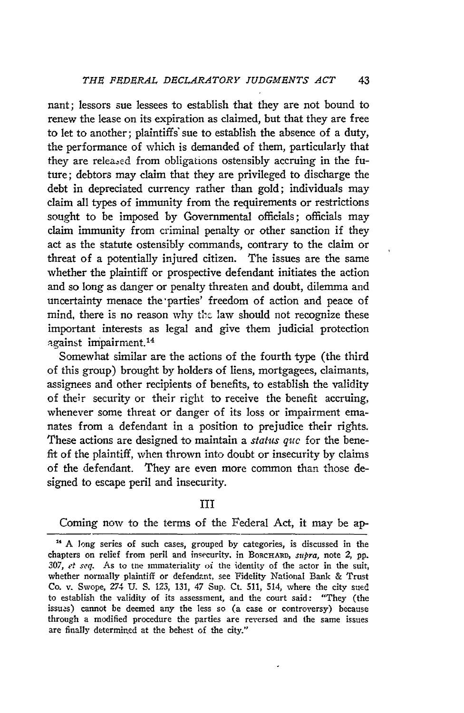nant; lessors sue lessees to establish that they are not bound to renew the lease on its expiration as claimed, but that they are free to let to another; plaintiffs" sue to establish the absence of a duty, the performance of which is demanded of them, particularly that they are releazed from obligations ostensibly accruing in the future; debtors may claim that they are privileged to discharge the debt in depreciated currency rather than gold; individuals may claim all types of immunity from the requirements or restrictions sought to be imposed by Governmental officials; officials may claim immunity from criminal penalty or other sanction if they act as the statute ostensibly commands, contrary to the claim or threat of a potentially injured citizen. The issues are the same whether the plaintiff or prospective defendant initiates the action and so long as danger or penalty threaten and doubt, dilemma and uncertainty menace the parties' freedom of action and peace of mind, there is no reason why the law should not recognize these important interests as legal and give them judicial protection against impairment. <sup>14</sup>

Somewhat similar are the actions of the fourth type (the third of this group) brought by holders of liens, mortgagees, claimants, assignees and other recipients of benefits, to establish the validity of their security or their right to receive the benefit accruing, whenever some threat or danger of its loss or impairment emanates from a defendant in a position to prejudice their rights. These actions are designed to maintain a status *quc* for the benefit of the plaintiff, when thrown into doubt or insecurity by claims of the defendant. They are even more common than those designed to escape peril and insecurity.

III

Coming now to the terms of the Federal Act, it may be ap-

**<sup>&</sup>quot;** A long series of such cases, grouped by categories, is discussed in the chapters on relief from peril and insecurity. in BORCHARD, *supra,* note 2, pp. *307, et seq.* As to tne immateriality oi the identity of the actor in the suit, whether normally plaintiff or defendant, see Fidelity National Bank & Trust Co. v. Swope, 274 U. S. 123, 131, 47 Sup. Ct. 511, 514, where the city sued to establish the validity of its assessment, and the court said: "They (the issues) cannot be deemed any the less so (a case or controversy) because through a modified procedure the parties are reversed and the same issues are finally determined at the behest of the city."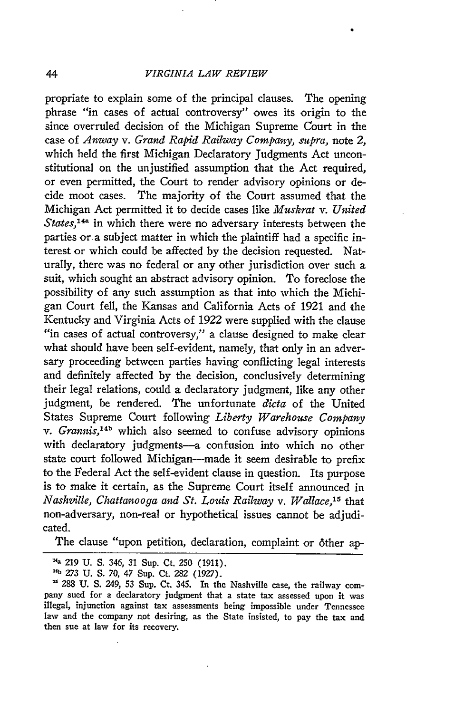propriate to explain some of the principal clauses. The opening phrase "in cases of actual controversy" owes its origin to the since overruled decision of the Michigan Supreme Court in the case of *Anway v. Grand Rapid Railway Company, supra,* note *2,* which held the first Michigan Declaratory Judgments Act unconstitutional on the unjustified assumption that the Act required, or even permitted, the Court to render advisory opinions or decide moot cases. The majority of the Court assumed that the Michigan Act permitted it to decide cases like *Muskrat v. United States,1 <sup>4</sup> a* in which there were no adversary interests between the parties or a subject matter in which the plaintiff had a specific interest or which could be affected by the decision requested. Naturally, there was no federal or any other jurisdiction over such a suit, which sought an abstract advisory opinion. To foreclose the possibility of any such assumption as that into which the Michigan Court fell, the Kansas and California Acts of 1921 and the Kentucky and Virginia Acts of 1922 were supplied with the clause "in cases of actual controversy," a clause designed to make clear what should have been self-evident, namely, that only in an adversary proceeding between parties having conflicting legal interests and definitely affected by the decision, conclusively determining their legal relations, could a declaratory judgment, like any other judgment, be rendered. The unfortunate *dicta* of the United States Supreme Court following *Liberty Warehouse Company* v. *Grannis*,<sup>14b</sup> which also seemed to confuse advisory opinions with declaratory judgments-a confusion into which no other state court followed Michigan-made it seem desirable to prefix to the Federal Act the self-evident clause in question. Its purpose is to make it certain, as the Supreme Court itself announced in *Nashzille, Chattanooga and St. Louis Railway v. Wallace,'5* that non-adversary, non-real or hypothetical issues cannot be adjudicated.

The clause "upon petition, declaration, complaint or 6ther ap-

**<sup>&</sup>quot;a** 219 U. **S.** *346,* 31 Sup. Ct. 250 (1911). **1***4*

*b 273* U. S. **70,** 47 Sup. Ct. 282 (1927).

<sup>288</sup> U. **S.** 249, **53** Sup. Ct. 345. In the Nashville case, the railway company sued for a declaratory judgment that a state tax assessed upon it was illegal, injunction against tax assessments being impossible under Tennessee law and the company rot desiring, as the State insisted, to pay the tax and then sue at law for its recovery.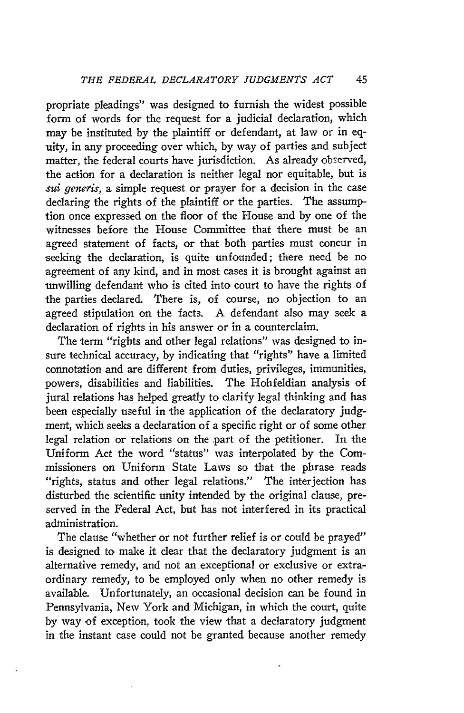propriate pleadings" was designed to furnish the widest possible form of words for the request for a judicial declaration, which may be instituted **by** the plaintiff or defendant, at law or in equity, in any proceeding over which, **by** way of parties and subject matter, the federal courts have jurisdiction. As already observed, the action for a declaration is neither legal nor equitable, but is *sui generis*, a simple request or prayer for a decision in the case declaring the rights of the plaintiff or the parties. The assumption once expressed on the floor of the House and **by** one of the witnesses before the House Committee that there must be an agreed statement of facts, or that both parties must concur in seeking the declaration, is quite unfounded; there need be no agreement of any kind, and in most cases it is brought against an -unwilling defendant who is cited into court to have the rights of the parties declared. There is, of course, no objection to an agreed stipulation on the facts. A defendant also may seek a declaration of rights in his answer or in a counterclaim.

The term "rights and other legal relations" was designed to insure technical accuracy, **by** indicating that "rights" have a limited connotation and are different from duties, privileges, immunities, powers, disabilities and liabilities. The Hohfeldian analysis of jural relations has helped greatly to clarify legal thinking and has been especially useful in the application of the declaratory judgment, which seeks a declaration of a specific right or of some other legal relation or relations on the part of the petitioner. In the Uniform Act the word "status" was interpolated **by** the Commissioners on Uniform State Laws so that the phrase reads "rights, status and other legal relations." The interjection has disturbed the scientific unity intended **by** the original clause, preserved in the Federal Act, but has not interfered in its practical administration.

The clause "whether or not further relief is or could be prayed" is designed to make it clear that the declaratory judgment is an alternative remedy, and not an exceptional or exclusive or extraordinary remedy, to be employed only when no other remedy is available. Unfortunately, an occasional decision can be found in Pennsylvania, New York and Michigan, in which the court, quite **by** way of exception, took the view that a declaratory judgment in the instant case could not be granted because another remedy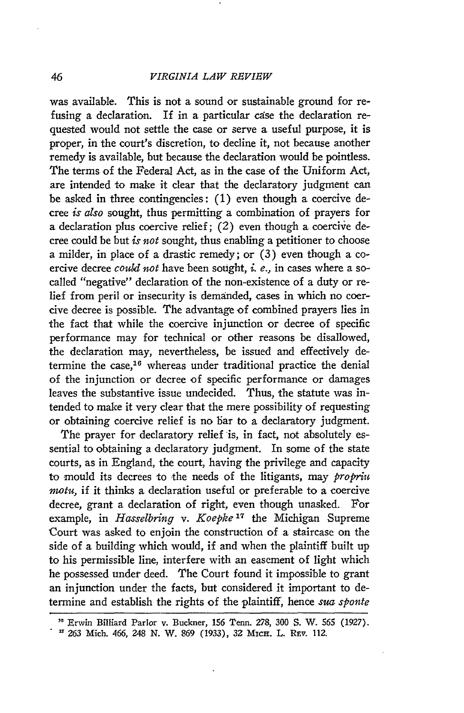46

was available. This is not a sound or sustainable ground for refusing a declaration. If in a particular case the declaration requested would not settle the case or serve a useful purpose, it is proper, in the court's discretion, to decline it, not because another remedy is available, but because the declaration would be pointless. The terms of the Federal Act, as in the case of the Uniform Act, are intended to make it clear that the declaratory judgment can be asked in three contingencies: (1) even though a coercive decree *is also* sought, thus permitting a combination of prayers for a declaration plus coercive relief;  $(2)$  even though a coercive decree could be but *is not* sought, thus enabling a petitioner to choose a milder, in place of a drastic remedy; or (3) even though a coercive decree *could not* have been sought, *i. e.,* in cases where a socalled "negative" declaration of the non-existence of a duty or relief from peril or insecurity is demanded, cases in which no coercive decree is possible. The advantage of combined prayers lies in the fact that while the coercive injunction or decree of specific performance may for technical or other reasons be disallowed, the declaration may, nevertheless, be issued and effectively determine the case, 16 whereas under traditional practice the denial of the injunction or decree of specific performance or damages leaves the substantive issue undecided. Thus, the statute was intended to make it very clear that the mere possibility of requesting or obtaining coercive relief is no bar to a declaratory judgment.

The prayer for declaratory relief is, in fact, not absolutely essential to obtaining a declaratory judgment. In some of the state courts, as in England, the court, having the privilege and capacity to mould its decrees to the needs of the litigants, may *propriu inotu,* if it thinks a declaration useful or preferable to a coercive decree, grant a declaration of right, even though unasked. For example, in *Hasselbring v. Koepke*<sup>17</sup> the Michigan Supreme Court was asked to enjoin the construction of a staircase on the side of a building which would, if and when the plaintiff built up to his permissible line, interfere with an easement of light which he possessed under deed. The Court found it impossible to grant an injunction under the facts, but considered it important to determine and establish the rights of the plaintiff, hence *sua sponte*

**<sup>&</sup>quot;** Erwin Billiard Parlor v. Buckner, 156 Tenn. 278, 300 S. W. **565 (1927). - 263** Mich. 466, 248 N. W. 869 (1933), 32 MIcH. L. Rrv. 112.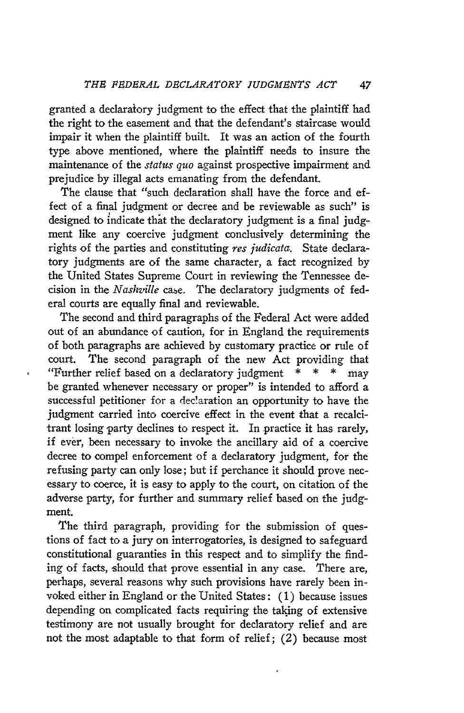granted a declaraiory judgment to the effect that the plaintiff had the right to the easement and that the defendant's staircase would impair it when the plaintiff built. It was an action of the fourth type above mentioned, where the plaintiff needs to insure the maintenance of the *status quo* against prospective impairment and prejudice by illegal acts emanating from the defendant.

The clause that "such declaration shall have the force and effect of a final judgment or decree and be reviewable as such" is designed to indicate that the declaratory judgment is a final judgment like any coercive judgment conclusively determining the rights of the parties and constituting *res judicata.* State declaratory judgments are of the same character, a fact recognized by the United States Supreme Court in reviewing the Tennessee decision in the *Nashville* case. The declaratory judgments of federal courts are equally final and reviewable.

The second and third paragraphs of the Federal Act were added out of an abundance of caution, for in England the requirements of both paragraphs are achieved by customary practice or rule of court. The second paragraph of the new Act providing that "Further relief based on a declaratory judgment  $* * * *$  may be granted whenever necessary or proper" is intended to afford a successful petitioner for a declaration an opportunity to have the judgment carried into coercive effect in the event that a recalcitrant losing party declines to respect it. In practice it has rarely, if ever, been necessary to invoke the ancillary aid of a coercive decree to compel enforcement of a declaratory judgment, for the refusing party can only lose; but if perchance it should prove necessary to coerce, it is easy to apply to the court, on citation of the adverse party, for further and summary relief based on the judgment.

The third paragraph, providing for the submission of questions of fact to a jury on interrogatories, is designed to safeguard constitutional guaranties in this respect and to simplify the finding of facts, should that prove essential in any case. There are, perhaps, several reasons why such provisions have rarely been invoked either in England or the United States: (1) because issues depending on complicated facts requiring the taking of extensive testimony are not usually brought for declaratory relief and are not the most adaptable to that form of relief; (2) because most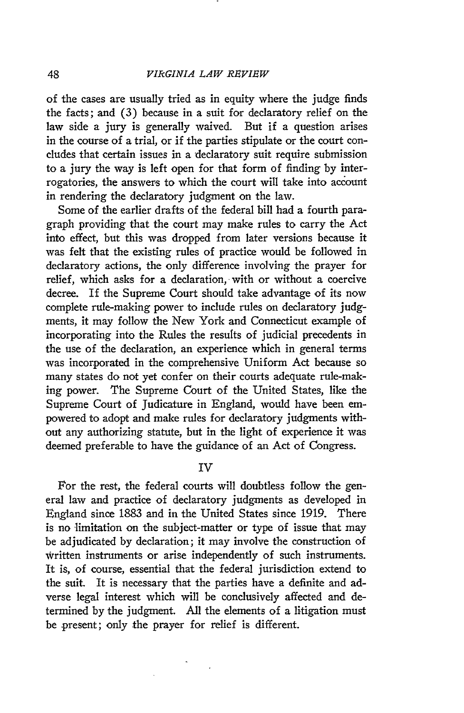of the cases are usually tried as in equity where the judge finds the facts; and (3) because in a suit for declaratory relief on the law side a jury is generally waived. But if a question arises in the course of a trial, or if the parties stipulate or the court concludes that certain issues in a declaratory suit require submission to a jury the way is left open for that form of finding by interrogatories, the answers to which the court will take into account in rendering the declaratory judgment on the law.

Some of the earlier drafts of the federal bill had a fourth paragraph providing that the court may make rules to carry the Act into effect, but this was dropped from later versions because it was felt that the existing rules of practice would be followed in declaratory actions, the only difference involving the prayer for relief, which asks for a declaration, with or without a coercive decree. If the Supreme Court should take advantage of its now complete rule-making power to include rules on declaratory judgments, it may follow the New York and Connecticut example of incorporating into the Rules the results of judicial precedents in the use of the declaration, an experience which in general terms was incorporated in the comprehensive Uniform Act because so many states do not yet confer on their courts adequate rule-making power. The Supreme Court of the United States, like the Supreme Court of Judicature in England, would have been empowered to adopt and make rules for declaratory judgments without any authorizing statute, but in the light of experience it was deemed preferable to have the guidance of an Act of Congress.

## IV

For the rest, the federal courts will doubtless follow the general law and practice of declaratory judgments as developed in England since 1883 and in the United States since 1919. There is no limitation on the subject-matter or type of issue that may be adjudicated by declaration; it may involve the construction of written instruments or arise independently of such instruments. It is, of course, essential that the federal jurisdiction extend to the suit. It is necessary that the parties have a definite and adverse legal interest which will be conclusively affected and determined by the judgment. All the elements of a litigation must be .present; only the prayer for relief is different.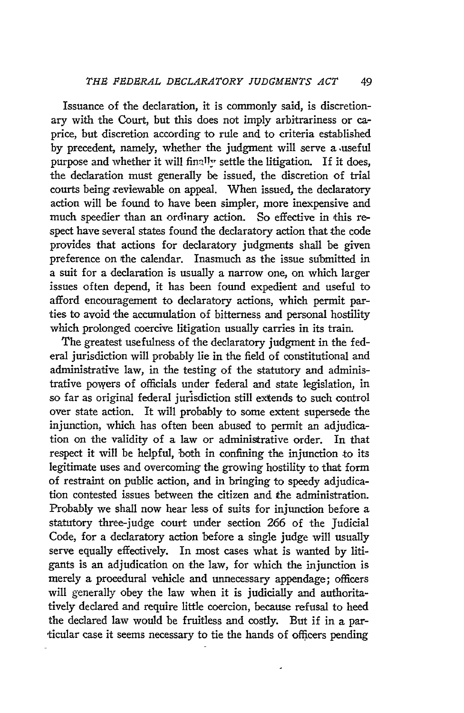49

Issuance of the declaration, it is commonly said, is discretionary with the Court, but this does not imply arbitrariness or caprice, but discretion according to rule and to criteria established by precedent, namely, whether the judgment will serve a useful purpose and whether it will fina1ly settle the litigation. If it does, the declaration must generally be issued, the discretion of trial courts being reviewable on appeal. When issued, the declaratory action will be found to have been simpler, more inexpensive and much speedier than an ordinary action. So effective in this respect have several states found the declaratory action that the code provides that actions for declaratory judgments shall be given preference on the calendar. Inasmuch as the issue submitted in a suit for a declaration is usually a narrow one, on which larger issues often depend, it has been found expedient and useful to afford encouragement to declaratory actions, which permit parties to avoid the accumulation of bitterness and personal hostility which prolonged coercive litigation usually carries in its train.

The greatest usefulness of the declaratory judgment in the federal jurisdiction will probably lie in the field of constitutional and administrative law, in the testing of the statutory and administrative powers of officials under federal and state legislation, in so far as original federal jurisdiction still extends to such control over state action. It will probably to some extent supersede the injunction, which has often been abused to permit an adjudication on the validity of a law or administrative order. In that respect it will be helpful, both in confining the injunction to its legitimate uses and overcoming the growing hostility to that form of restraint on public action, and in bringing to speedy adjudication contested issues between the citizen and the administration. Probably we shall now hear less of suits for injunction before a statutory three-judge court under section 266 of the Judicial Code, for a declaratory action before a single judge will usually serve equally effectively. In most cases what is wanted by litigants is an adjudication on the law, for which the injunction is merely a procedural vehicle and unnecessary appendage; officers will generally obey the law when it is judicially and authoritatively declared and require little coercion, because refusal to heed the declared law would be fruitless and costly. But if in a particular case it seems necessary to tie the hands of officers pending